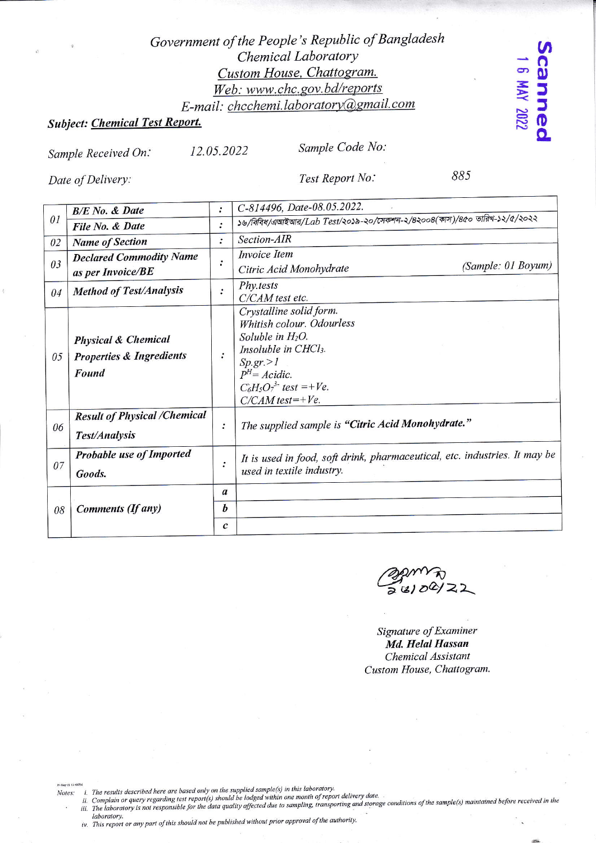## Government of the People's Republic of Bangladesh Chemical Laboratory Custom House, Chattogram. Web: www.chc.gov.bd/reports E-mail: chcchemi.laboratory@gmail.com

# Subject: Chemical Test Report.

12.05.2022 Sample Received On:

Sample Code No:

Date of Delivery:

Test Report No:

885

canne

8 MAY 2022

|                | <b>B/E</b> No. & Date                                                          | $\ddot{\cdot}$   | C-814496, Date-08.05.2022.                                                                                                                                                                               |
|----------------|--------------------------------------------------------------------------------|------------------|----------------------------------------------------------------------------------------------------------------------------------------------------------------------------------------------------------|
| 0 <sub>I</sub> | File No. & Date                                                                | ፡                | ১৬/বিবিধ/এআইআর/Lab Test/২০১৯-২০/সেকশন-২/৪২০০৪(কাস)/৪৫০ তারিখ-১২/৫/২০২২                                                                                                                                   |
| 02             | <b>Name of Section</b>                                                         | $\ddot{\cdot}$   | Section-AIR                                                                                                                                                                                              |
| 03             | <b>Declared Commodity Name</b><br>as per Invoice/BE                            | :                | Invoice Item<br>(Sample: 01 Boyum)<br>Citric Acid Monohydrate                                                                                                                                            |
| 04             | <b>Method of Test/Analysis</b>                                                 | $\ddot{\cdot}$   | Phy.tests<br>C/CAM test etc.                                                                                                                                                                             |
| 05             | <b>Physical &amp; Chemical</b><br><b>Properties &amp; Ingredients</b><br>Found | $\ddot{\cdot}$   | Crystalline solid form.<br>Whitish colour. Odourless<br>Soluble in $H_2O$ .<br><i>Insoluble in CHCl<sub>3</sub></i> .<br>Sp.gr. > 1<br>$PH = Acidic.$<br>$C_6H_5O_7^{3}$ test =+Ve.<br>$C/CAM$ test=+Ve. |
| 06             | <b>Result of Physical /Chemical</b><br><b>Test/Analysis</b>                    | :                | The supplied sample is "Citric Acid Monohydrate."                                                                                                                                                        |
| 07             | <b>Probable use of Imported</b><br>Goods.                                      | $\ddot{\cdot}$   | It is used in food, soft drink, pharmaceutical, etc. industries. It may be<br>used in textile industry.                                                                                                  |
|                |                                                                                | a                |                                                                                                                                                                                                          |
| 08             | Comments (If any)                                                              | $\boldsymbol{b}$ |                                                                                                                                                                                                          |
|                |                                                                                | $\boldsymbol{c}$ |                                                                                                                                                                                                          |

 $281/22$ 

Signature of Examiner Md. Helal Hassan Chemical Assistant Custom House, Chattogram.

Notes:

in<br>ii. The results described here are based only on the supplied sample(s) in this laboratory.<br>iii. Complain or query regarding test report(s) should be lodged within one month of report delivery date.<br>iii. The laboratory laboratory.

iv. This report or any part of this should not be published without prior approval of the authority.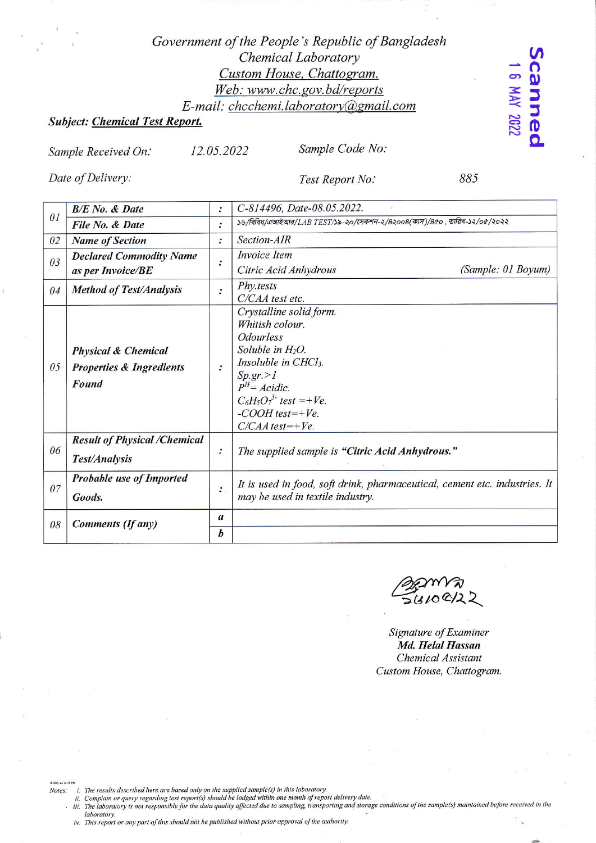## Government of the People's Republic of Bangladesh Chemical Laboratory Custom House, Chattogram. Web: www.chc.gov.bd/reports E-mail: chcchemi.laboratory@gmail.com

### **Subject: Chemical Test Report.**

8 MAY 2022

canneo

Sample Received On:

12.05.2022

Sample Code No:

Date of Delivery:

Test Report No:

885

| 01 | <b>B/E</b> No. & Date                                                          | $\ddot{\cdot}$   | C-814496, Date-08.05.2022.                                                 |  |
|----|--------------------------------------------------------------------------------|------------------|----------------------------------------------------------------------------|--|
|    | File No. & Date                                                                | $\ddot{\cdot}$   | ১৬/বিবিধ/এআইআর/LAB TEST/১৯-২০/সেকশন-২/৪২০০৪(কাস)/৪৫০ , তারিখ-১২/০৫/২০২২    |  |
| 02 | <b>Name of Section</b>                                                         | $\ddot{\cdot}$   | Section-AIR                                                                |  |
| 03 | <b>Declared Commodity Name</b>                                                 |                  | <b>Invoice</b> Item                                                        |  |
|    | as per Invoice/BE                                                              | $\ddot{\cdot}$   | (Sample: 01 Boyum)<br>Citric Acid Anhydrous                                |  |
| 04 | <b>Method of Test/Analysis</b>                                                 | $\ddot{\cdot}$   | Phy.tests                                                                  |  |
|    |                                                                                |                  | C/CAA test etc.                                                            |  |
|    | <b>Physical &amp; Chemical</b><br><b>Properties &amp; Ingredients</b><br>Found |                  | Crystalline solid form.                                                    |  |
|    |                                                                                | $\cdot$          | Whitish colour.                                                            |  |
|    |                                                                                |                  | <b>Odourless</b>                                                           |  |
|    |                                                                                |                  | Soluble in $H_2O$ .                                                        |  |
| 05 |                                                                                |                  | <i>Insoluble in CHCl<sub>3</sub></i> .                                     |  |
|    |                                                                                |                  | Sp.gr. > 1                                                                 |  |
|    |                                                                                |                  | $P^{H} = Acidic$ .                                                         |  |
|    |                                                                                |                  | $C_6H_5O_7^{3}$ test =+Ve.                                                 |  |
|    |                                                                                |                  | $-COOH$ test=+Ve.                                                          |  |
|    |                                                                                |                  | $C/CAA$ test=+Ve.                                                          |  |
|    | <b>Result of Physical /Chemical</b>                                            |                  |                                                                            |  |
| 06 | Test/Analysis                                                                  | :                | The supplied sample is "Citric Acid Anhydrous."                            |  |
|    |                                                                                |                  |                                                                            |  |
| 07 | Probable use of Imported                                                       |                  | It is used in food, soft drink, pharmaceutical, cement etc. industries. It |  |
|    | Goods.                                                                         | $\ddot{\cdot}$   | may be used in textile industry.                                           |  |
|    |                                                                                |                  |                                                                            |  |
| 08 | Comments (If any)                                                              | $\boldsymbol{a}$ |                                                                            |  |
|    |                                                                                | b                |                                                                            |  |
|    |                                                                                |                  |                                                                            |  |

 $56100/2$ 

Signature of Examiner Md. Helal Hassan Chemical Assistant Custom House, Chattogram.

16-May-22 12:49 PM Notes:

- 
- ... The results described here are based only on the supplied sample(s) in this laboratory.<br>ii. Complain or query regarding test report(s) should be lodged within one month of report delivery date.<br>iii. The laboratory is n laboratory.

iv. This report or any part of this should not be published without prior approval of the authority.